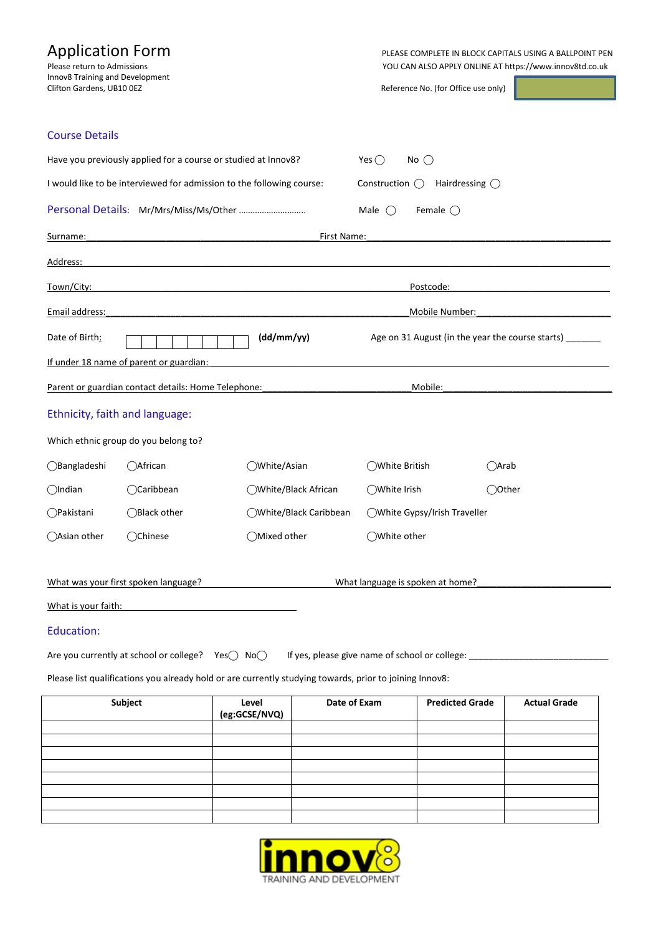| <b>Application Form</b><br>Please return to Admissions<br>Innov8 Training and Development<br>Clifton Gardens, UB10 OEZ |                                                                                                         |                                        |                        | PLEASE COMPLETE IN BLOCK CAPITALS USING A BALLPOINT PEN<br>YOU CAN ALSO APPLY ONLINE AT https://www.innov8td.co.uk<br>Reference No. (for Office use only) |                        |                     |  |
|------------------------------------------------------------------------------------------------------------------------|---------------------------------------------------------------------------------------------------------|----------------------------------------|------------------------|-----------------------------------------------------------------------------------------------------------------------------------------------------------|------------------------|---------------------|--|
| <b>Course Details</b>                                                                                                  |                                                                                                         |                                        |                        |                                                                                                                                                           |                        |                     |  |
| Have you previously applied for a course or studied at Innov8?                                                         |                                                                                                         |                                        |                        | No $\bigcirc$<br>Yes $()$                                                                                                                                 |                        |                     |  |
| I would like to be interviewed for admission to the following course:                                                  |                                                                                                         |                                        |                        | Construction $\bigcirc$<br>Hairdressing $\bigcirc$                                                                                                        |                        |                     |  |
|                                                                                                                        |                                                                                                         |                                        |                        | Male $\bigcirc$<br>Female $\bigcirc$                                                                                                                      |                        |                     |  |
| Surname:                                                                                                               |                                                                                                         |                                        | First Name:            |                                                                                                                                                           |                        |                     |  |
| <u> Address:</u>                                                                                                       |                                                                                                         |                                        |                        |                                                                                                                                                           |                        |                     |  |
| Town/City:                                                                                                             |                                                                                                         |                                        |                        | Postcode:                                                                                                                                                 |                        |                     |  |
| Email address:                                                                                                         |                                                                                                         |                                        |                        | Mobile Number:                                                                                                                                            |                        |                     |  |
| Date of Birth:<br>(dd/mm/yy)<br>Age on 31 August (in the year the course starts)                                       |                                                                                                         |                                        |                        |                                                                                                                                                           |                        |                     |  |
|                                                                                                                        | If under 18 name of parent or guardian:                                                                 |                                        |                        |                                                                                                                                                           |                        |                     |  |
|                                                                                                                        | Parent or guardian contact details: Home Telephone:                                                     |                                        |                        | Mobile:                                                                                                                                                   |                        |                     |  |
| Ethnicity, faith and language:                                                                                         |                                                                                                         |                                        |                        |                                                                                                                                                           |                        |                     |  |
|                                                                                                                        | Which ethnic group do you belong to?                                                                    |                                        |                        |                                                                                                                                                           |                        |                     |  |
| ◯Bangladeshi                                                                                                           | ○African                                                                                                | ◯White/Asian                           |                        | ◯White British                                                                                                                                            | ()Arab                 |                     |  |
| $\bigcirc$ Indian                                                                                                      | ○Caribbean                                                                                              | ◯White/Black African                   |                        | ◯White Irish                                                                                                                                              | ◯Other                 |                     |  |
| ○Pakistani                                                                                                             | ◯Black other                                                                                            |                                        | ◯White/Black Caribbean | ◯White Gypsy/Irish Traveller                                                                                                                              |                        |                     |  |
| ◯Asian other ◯Chinese                                                                                                  |                                                                                                         | ◯Mixed other                           |                        | ◯White other                                                                                                                                              |                        |                     |  |
|                                                                                                                        |                                                                                                         |                                        |                        |                                                                                                                                                           |                        |                     |  |
| What was your first spoken language?<br>What language is spoken at home?                                               |                                                                                                         |                                        |                        |                                                                                                                                                           |                        |                     |  |
| What is your faith:                                                                                                    |                                                                                                         |                                        |                        |                                                                                                                                                           |                        |                     |  |
| <b>Education:</b>                                                                                                      |                                                                                                         |                                        |                        |                                                                                                                                                           |                        |                     |  |
|                                                                                                                        | Are you currently at school or college? $Yes() No()$                                                    |                                        |                        | If yes, please give name of school or college: _________________________________                                                                          |                        |                     |  |
|                                                                                                                        | Please list qualifications you already hold or are currently studying towards, prior to joining Innov8: |                                        |                        |                                                                                                                                                           |                        |                     |  |
| Subject                                                                                                                |                                                                                                         | Date of Exam<br>Level<br>(eg:GCSE/NVQ) |                        |                                                                                                                                                           | <b>Predicted Grade</b> | <b>Actual Grade</b> |  |
|                                                                                                                        |                                                                                                         |                                        |                        |                                                                                                                                                           |                        |                     |  |
|                                                                                                                        |                                                                                                         |                                        |                        |                                                                                                                                                           |                        |                     |  |
|                                                                                                                        |                                                                                                         |                                        |                        |                                                                                                                                                           |                        |                     |  |